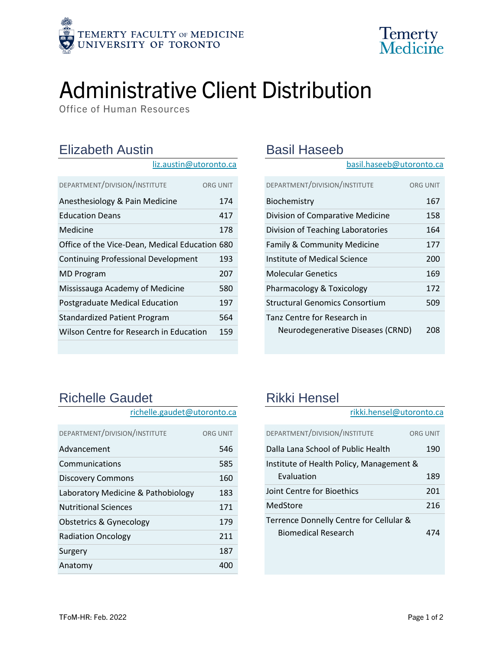



# Administrative Client Distribution

Office of Human Resources

### Elizabeth Austin

| liz.austin@utoronto.ca                         |                 |
|------------------------------------------------|-----------------|
| DEPARTMENT/DIVISION/INSTITUTE                  | <b>ORG UNIT</b> |
| Anesthesiology & Pain Medicine                 | 174             |
| <b>Education Deans</b>                         | 417             |
| Medicine                                       | 178             |
| Office of the Vice-Dean, Medical Education 680 |                 |
| <b>Continuing Professional Development</b>     | 193             |
| <b>MD Program</b>                              | 207             |
| Mississauga Academy of Medicine                | 580             |
| Postgraduate Medical Education                 | 197             |
| Standardized Patient Program                   | 564             |
| Wilson Centre for Research in Education        | 159             |
|                                                |                 |

#### Basil Haseeb

[basil.haseeb@utoronto.ca](mailto:basil.haseeb@utoronto.ca)

| DEPARTMENT/DIVISION/INSTITUTE         | <b>ORG UNIT</b> |
|---------------------------------------|-----------------|
| Biochemistry                          | 167             |
| Division of Comparative Medicine      | 158             |
| Division of Teaching Laboratories     | 164             |
| Family & Community Medicine           | 177             |
| Institute of Medical Science          | 200             |
| Molecular Genetics                    | 169             |
| Pharmacology & Toxicology             | 172             |
| <b>Structural Genomics Consortium</b> | 509             |
| Tanz Centre for Research in           |                 |
| Neurodegenerative Diseases (CRND)     | 208             |

## Richelle Gaudet

| richelle.gaudet@utoronto.ca        |                 |
|------------------------------------|-----------------|
| DEPARTMENT/DIVISION/INSTITUTE      | <b>ORG UNIT</b> |
| Advancement                        | 546             |
| Communications                     | 585             |
| <b>Discovery Commons</b>           | 160             |
| Laboratory Medicine & Pathobiology | 183             |
| <b>Nutritional Sciences</b>        | 171             |
| Obstetrics & Gynecology            | 179             |
| <b>Radiation Oncology</b>          | 211             |
| Surgery                            | 187             |
| Anatomy                            | 400             |

## Rikki Hensel

rikki.hensel@utoronto.ca

| DEPARTMENT/DIVISION/INSTITUTE                                         | ORG UNIT |
|-----------------------------------------------------------------------|----------|
| Dalla Lana School of Public Health                                    | 190      |
| Institute of Health Policy, Management &                              |          |
| Evaluation                                                            | 189      |
| Joint Centre for Bioethics                                            | 201      |
| MedStore                                                              | 216      |
| Terrence Donnelly Centre for Cellular &<br><b>Biomedical Research</b> | 474      |